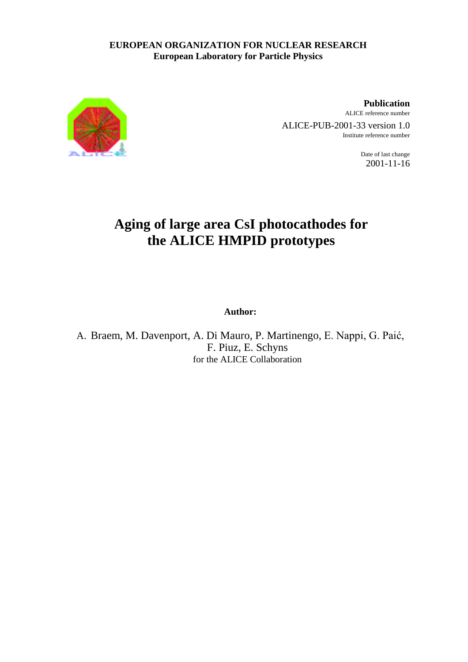### **EUROPEAN ORGANIZATION FOR NUCLEAR RESEARCH European Laboratory for Particle Physics**



**Publication** ALICE reference number ALICE-PUB-2001-33 version 1.0

Institute reference number

Date of last change 2001-11-16

# **Aging of large area CsI photocathodes for the ALICE HMPID prototypes**

**Author:**

A. Braem, M. Davenport, A. Di Mauro, P. Martinengo, E. Nappi, G. Paić, F. Piuz, E. Schyns for the ALICE Collaboration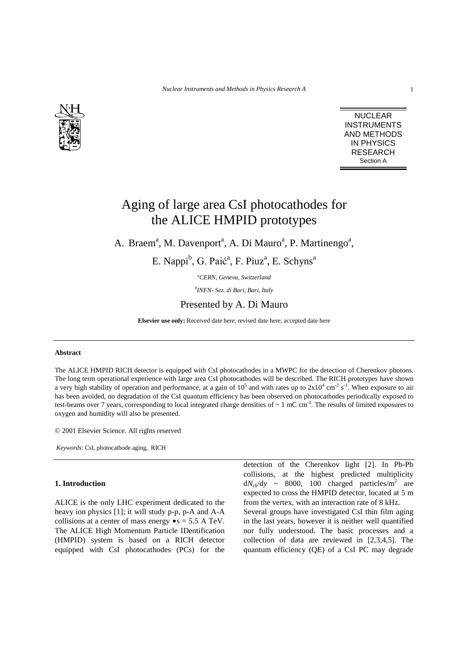

NUCLEAR INSTRUMENTS AND METHODS IN PHYSICS RESEARCH Section A

## Aging of large area CsI photocathodes for the ALICE HMPID prototypes

A. Braem<sup>a</sup>, M. Davenport<sup>a</sup>, A. Di Mauro<sup>a</sup>, P. Martinengo<sup>a</sup>,

E. Nappi<sup>b</sup>, G. Paić<sup>a</sup>, F. Piuz<sup>a</sup>, E. Schyns<sup>a</sup>

*a CERN, Geneva, Switzerland*

*b INFN- Sez. di Bari, Bari, Italy*

### Presented by A. Di Mauro

**Elsevier use only:** Received date here; revised date here; accepted date here

#### **Abstract**

The ALICE HMPID RICH detector is equipped with CsI photocathodes in a MWPC for the detection of Cherenkov photons. The long term operational experience with large area CsI photocathodes will be described. The RICH prototypes have shown a very high stability of operation and performance, at a gain of  $10^5$  and with rates up to  $2x10^4$  cm<sup>-2</sup> s<sup>-1</sup>. When exposure to air has been avoided, no degradation of the CsI quantum efficiency has been observed on photocathodes periodically exposed to test-beams over 7 years, corresponding to local integrated charge densities of  $\sim 1$  mC cm<sup>-2</sup>. The results of limited exposures to oxygen and humidity will also be presented.

© 2001 Elsevier Science. All rights reserved

*Keywords*: CsI, photocathode aging, RICH

#### **1. Introduction**

ALICE is the only LHC experiment dedicated to the heavy ion physics [1]; it will study p-p, p-A and A-A collisions at a center of mass energy  $\bullet s = 5.5$  A TeV. The ALICE High Momentum Particle IDentification (HMPID) system is based on a RICH detector equipped with CsI photocathodes (PCs) for the

detection of the Cherenkov light [2]. In Pb-Pb collisions, at the highest predicted multiplicity  $dN_{ch}/dy \sim 8000$ , 100 charged particles/m<sup>2</sup> are expected to cross the HMPID detector, located at 5 m from the vertex, with an interaction rate of 8 kHz. Several groups have investigated CsI thin film aging in the last years, however it is neither well quantified nor fully understood. The basic processes and a collection of data are reviewed in [2,3,4,5]. The quantum efficiency (QE) of a CsI PC may degrade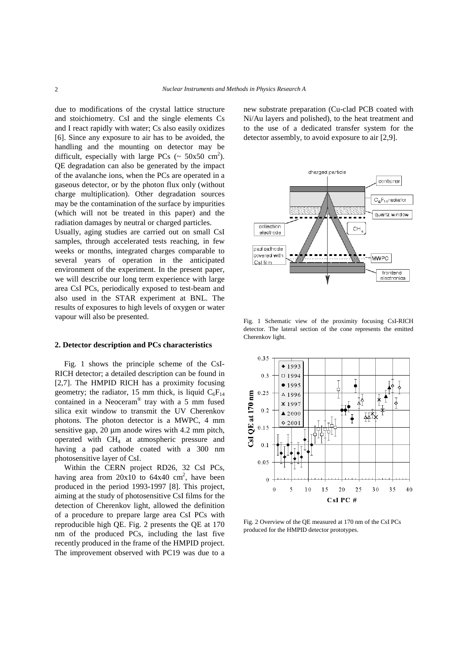due to modifications of the crystal lattice structure and stoichiometry. CsI and the single elements Cs and I react rapidly with water; Cs also easily oxidizes [6]. Since any exposure to air has to be avoided, the handling and the mounting on detector may be difficult, especially with large PCs ( $\sim 50x50 \text{ cm}^2$ ). QE degradation can also be generated by the impact of the avalanche ions, when the PCs are operated in a gaseous detector, or by the photon flux only (without charge multiplication). Other degradation sources may be the contamination of the surface by impurities (which will not be treated in this paper) and the radiation damages by neutral or charged particles.

Usually, aging studies are carried out on small CsI samples, through accelerated tests reaching, in few weeks or months, integrated charges comparable to several years of operation in the anticipated environment of the experiment. In the present paper, we will describe our long term experience with large area CsI PCs, periodically exposed to test-beam and also used in the STAR experiment at BNL. The results of exposures to high levels of oxygen or water vapour will also be presented.

#### **2. Detector description and PCs characteristics**

Fig. 1 shows the principle scheme of the CsI-RICH detector; a detailed description can be found in [2,7]. The HMPID RICH has a proximity focusing geometry; the radiator, 15 mm thick, is liquid  $C_6F_{14}$ contained in a Neoceram® tray with a 5 mm fused silica exit window to transmit the UV Cherenkov photons. The photon detector is a MWPC, 4 mm sensitive gap, 20  $\mu$ m anode wires with 4.2 mm pitch, operated with CH4 at atmospheric pressure and having a pad cathode coated with a 300 nm photosensitive layer of CsI.

Within the CERN project RD26, 32 CsI PCs, having area from  $20x10$  to  $64x40$  cm<sup>2</sup>, have been produced in the period 1993-1997 [8]. This project, aiming at the study of photosensitive CsI films for the detection of Cherenkov light, allowed the definition of a procedure to prepare large area CsI PCs with reproducible high QE. Fig. 2 presents the QE at 170 nm of the produced PCs, including the last five recently produced in the frame of the HMPID project. The improvement observed with PC19 was due to a new substrate preparation (Cu-clad PCB coated with Ni/Au layers and polished), to the heat treatment and to the use of a dedicated transfer system for the detector assembly, to avoid exposure to air [2,9].



Fig. 1 Schematic view of the proximity focusing CsI-RICH detector. The lateral section of the cone represents the emitted Cherenkov light.



Fig. 2 Overview of the QE measured at 170 nm of the CsI PCs produced for the HMPID detector prototypes.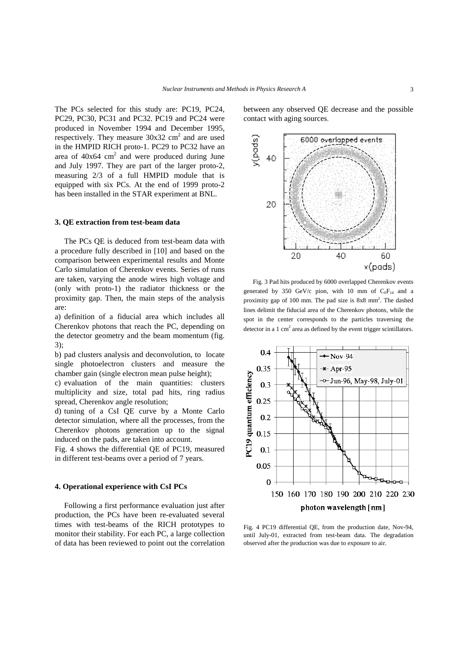The PCs selected for this study are: PC19, PC24, PC29, PC30, PC31 and PC32. PC19 and PC24 were produced in November 1994 and December 1995, respectively. They measure  $30x32$  cm<sup>2</sup> and are used in the HMPID RICH proto-1. PC29 to PC32 have an area of  $40x64$  cm<sup>2</sup> and were produced during June and July 1997. They are part of the larger proto-2, measuring 2/3 of a full HMPID module that is equipped with six PCs. At the end of 1999 proto-2 has been installed in the STAR experiment at BNL.

#### **3. QE extraction from test-beam data**

The PCs QE is deduced from test-beam data with a procedure fully described in [10] and based on the comparison between experimental results and Monte Carlo simulation of Cherenkov events. Series of runs are taken, varying the anode wires high voltage and (only with proto-1) the radiator thickness or the proximity gap. Then, the main steps of the analysis are:

a) definition of a fiducial area which includes all Cherenkov photons that reach the PC, depending on the detector geometry and the beam momentum (fig. 3);

b) pad clusters analysis and deconvolution, to locate single photoelectron clusters and measure the chamber gain (single electron mean pulse height);

c) evaluation of the main quantities: clusters multiplicity and size, total pad hits, ring radius spread, Cherenkov angle resolution;

d) tuning of a CsI QE curve by a Monte Carlo detector simulation, where all the processes, from the Cherenkov photons generation up to the signal induced on the pads, are taken into account.

Fig. 4 shows the differential QE of PC19, measured in different test-beams over a period of 7 years.

#### **4. Operational experience with CsI PCs**

Following a first performance evaluation just after production, the PCs have been re-evaluated several times with test-beams of the RICH prototypes to monitor their stability. For each PC, a large collection of data has been reviewed to point out the correlation

between any observed QE decrease and the possible contact with aging sources.



Fig. 3 Pad hits produced by 6000 overlapped Cherenkov events generated by 350 GeV/c pion, with 10 mm of  $C_6F_{14}$  and a proximity gap of 100 mm. The pad size is 8x8 mm<sup>2</sup>. The dashed lines delimit the fiducial area of the Cherenkov photons, while the spot in the center corresponds to the particles traversing the detector in a  $1 \text{ cm}^2$  area as defined by the event trigger scintillators.



Fig. 4 PC19 differential QE, from the production date, Nov-94, until July-01, extracted from test-beam data. The degradation observed after the production was due to exposure to air.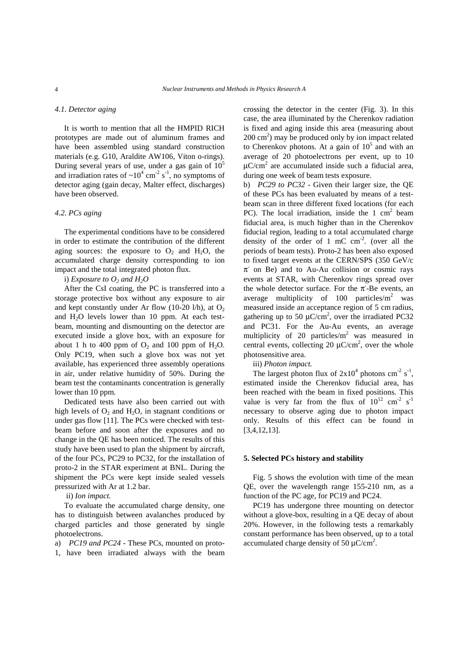#### *4.1. Detector aging*

It is worth to mention that all the HMPID RICH prototypes are made out of aluminum frames and have been assembled using standard construction materials (e.g. G10, Araldite AW106, Viton o-rings). During several years of use, under a gas gain of  $10<sup>5</sup>$ and irradiation rates of  $\sim 10^4$  cm<sup>-2</sup> s<sup>-1</sup>, no symptoms of detector aging (gain decay, Malter effect, discharges) have been observed.

#### *4.2. PCs aging*

The experimental conditions have to be considered in order to estimate the contribution of the different aging sources: the exposure to  $O_2$  and  $H_2O$ , the accumulated charge density corresponding to ion impact and the total integrated photon flux.

i) *Exposure to*  $O_2$  *and*  $H_2O$ 

After the CsI coating, the PC is transferred into a storage protective box without any exposure to air and kept constantly under Ar flow (10-20 l/h), at  $O_2$ and  $H_2O$  levels lower than 10 ppm. At each testbeam, mounting and dismounting on the detector are executed inside a glove box, with an exposure for about 1 h to 400 ppm of  $O_2$  and 100 ppm of  $H_2O$ . Only PC19, when such a glove box was not yet available, has experienced three assembly operations in air, under relative humidity of 50%. During the beam test the contaminants concentration is generally lower than 10 ppm.

Dedicated tests have also been carried out with high levels of  $O_2$  and  $H_2O$ , in stagnant conditions or under gas flow [11]. The PCs were checked with testbeam before and soon after the exposures and no change in the QE has been noticed. The results of this study have been used to plan the shipment by aircraft, of the four PCs, PC29 to PC32, for the installation of proto-2 in the STAR experiment at BNL. During the shipment the PCs were kept inside sealed vessels pressurized with Ar at 1.2 bar.

ii) *Ion impact.*

To evaluate the accumulated charge density, one has to distinguish between avalanches produced by charged particles and those generated by single photoelectrons.

a) *PC19 and PC24* - These PCs, mounted on proto-1, have been irradiated always with the beam crossing the detector in the center (Fig. 3). In this case, the area illuminated by the Cherenkov radiation is fixed and aging inside this area (measuring about  $200 \text{ cm}^2$ ) may be produced only by ion impact related to Cherenkov photons. At a gain of  $10<sup>5</sup>$  and with an average of 20 photoelectrons per event, up to 10  $\mu$ C/cm<sup>2</sup> are accumulated inside such a fiducial area, during one week of beam tests exposure.

b) *PC29 to PC32* - Given their larger size, the QE of these PCs has been evaluated by means of a testbeam scan in three different fixed locations (for each PC). The local irradiation, inside the  $1 \text{ cm}^2$  beam fiducial area, is much higher than in the Cherenkov fiducial region, leading to a total accumulated charge density of the order of 1 mC  $cm<sup>-2</sup>$ . (over all the periods of beam tests). Proto-2 has been also exposed to fixed target events at the CERN/SPS (350 GeV/c  $\pi$  on Be) and to Au-Au collision or cosmic rays events at STAR, with Cherenkov rings spread over the whole detector surface. For the  $\pi$ -Be events, an average multiplicity of  $100$  particles/m<sup>2</sup> was measured inside an acceptance region of 5 cm radius, gathering up to 50  $\mu$ C/cm<sup>2</sup>, over the irradiated PC32 and PC31. For the Au-Au events, an average multiplicity of 20 particles/ $m^2$  was measured in central events, collecting 20  $\mu$ C/cm<sup>2</sup>, over the whole photosensitive area.

iii) *Photon impact.*

The largest photon flux of  $2x10^4$  photons cm<sup>-2</sup> s<sup>-1</sup>, estimated inside the Cherenkov fiducial area, has been reached with the beam in fixed positions. This value is very far from the flux of  $10^{12}$  cm<sup>-2</sup> s<sup>-1</sup> necessary to observe aging due to photon impact only. Results of this effect can be found in [3,4,12,13].

#### **5. Selected PCs history and stability**

Fig. 5 shows the evolution with time of the mean QE, over the wavelength range 155-210 nm, as a function of the PC age, for PC19 and PC24.

PC19 has undergone three mounting on detector without a glove-box, resulting in a QE decay of about 20%. However, in the following tests a remarkably constant performance has been observed, up to a total accumulated charge density of 50  $\mu$ C/cm<sup>2</sup>.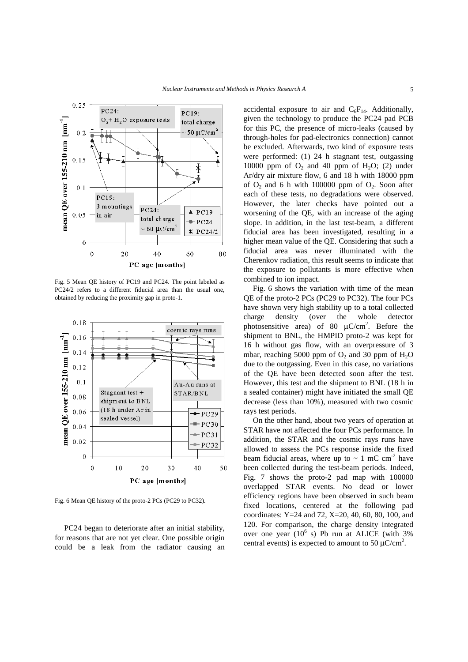



Fig. 5 Mean QE history of PC19 and PC24. The point labeled as PC24/2 refers to a different fiducial area than the usual one, obtained by reducing the proximity gap in proto-1.



Fig. 6 Mean QE history of the proto-2 PCs (PC29 to PC32).

PC24 began to deteriorate after an initial stability, for reasons that are not yet clear. One possible origin could be a leak from the radiator causing an accidental exposure to air and  $C_6F_{14}$ . Additionally, given the technology to produce the PC24 pad PCB for this PC, the presence of micro-leaks (caused by through-holes for pad-electronics connection) cannot be excluded. Afterwards, two kind of exposure tests were performed: (1) 24 h stagnant test, outgassing 10000 ppm of  $O_2$  and 40 ppm of  $H_2O$ ; (2) under Ar/dry air mixture flow, 6 and 18 h with 18000 ppm of  $O_2$  and 6 h with 100000 ppm of  $O_2$ . Soon after each of these tests, no degradations were observed. However, the later checks have pointed out a worsening of the QE, with an increase of the aging slope. In addition, in the last test-beam, a different fiducial area has been investigated, resulting in a higher mean value of the QE. Considering that such a fiducial area was never illuminated with the Cherenkov radiation, this result seems to indicate that the exposure to pollutants is more effective when combined to ion impact.

Fig. 6 shows the variation with time of the mean QE of the proto-2 PCs (PC29 to PC32). The four PCs have shown very high stability up to a total collected charge density (over the whole detector photosensitive area) of 80  $\mu$ C/cm<sup>2</sup>. Before the shipment to BNL, the HMPID proto-2 was kept for 16 h without gas flow, with an overpressure of 3 mbar, reaching 5000 ppm of  $O_2$  and 30 ppm of  $H_2O$ due to the outgassing. Even in this case, no variations of the QE have been detected soon after the test. However, this test and the shipment to BNL (18 h in a sealed container) might have initiated the small QE decrease (less than 10%), measured with two cosmic rays test periods.

On the other hand, about two years of operation at STAR have not affected the four PCs performance. In addition, the STAR and the cosmic rays runs have allowed to assess the PCs response inside the fixed beam fiducial areas, where up to  $\sim 1$  mC cm<sup>-2</sup> have been collected during the test-beam periods. Indeed, Fig. 7 shows the proto-2 pad map with 100000 overlapped STAR events. No dead or lower efficiency regions have been observed in such beam fixed locations, centered at the following pad coordinates: Y=24 and 72, X=20, 40, 60, 80, 100, and 120. For comparison, the charge density integrated over one year  $(10^6 \text{ s})$  Pb run at ALICE (with 3% central events) is expected to amount to 50  $\mu$ C/cm<sup>2</sup>.